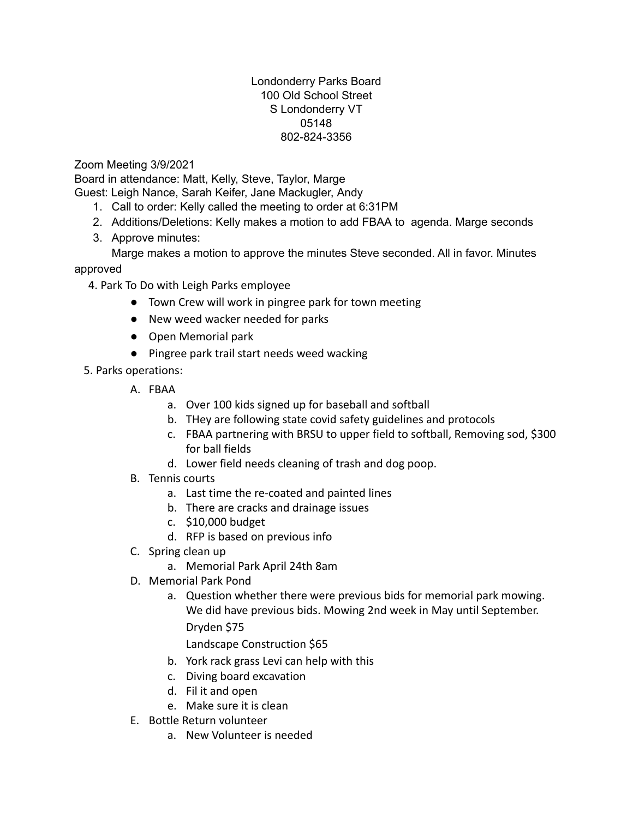## Londonderry Parks Board 100 Old School Street S Londonderry VT 05148 802-824-3356

Zoom Meeting 3/9/2021

Board in attendance: Matt, Kelly, Steve, Taylor, Marge

Guest: Leigh Nance, Sarah Keifer, Jane Mackugler, Andy

- 1. Call to order: Kelly called the meeting to order at 6:31PM
- 2. Additions/Deletions: Kelly makes a motion to add FBAA to agenda. Marge seconds
- 3. Approve minutes:

Marge makes a motion to approve the minutes Steve seconded. All in favor. Minutes approved

4. Park To Do with Leigh Parks employee

- Town Crew will work in pingree park for town meeting
- New weed wacker needed for parks
- Open Memorial park
- Pingree park trail start needs weed wacking

5. Parks operations:

- A. FBAA
	- a. Over 100 kids signed up for baseball and softball
	- b. THey are following state covid safety guidelines and protocols
	- c. FBAA partnering with BRSU to upper field to softball, Removing sod, \$300 for ball fields
	- d. Lower field needs cleaning of trash and dog poop.
- B. Tennis courts
	- a. Last time the re-coated and painted lines
	- b. There are cracks and drainage issues
	- c. \$10,000 budget
	- d. RFP is based on previous info
- C. Spring clean up
	- a. Memorial Park April 24th 8am
- D. Memorial Park Pond
	- a. Question whether there were previous bids for memorial park mowing. We did have previous bids. Mowing 2nd week in May until September. Dryden \$75

Landscape Construction \$65

- b. York rack grass Levi can help with this
- c. Diving board excavation
- d. Fil it and open
- e. Make sure it is clean
- E. Bottle Return volunteer
	- a. New Volunteer is needed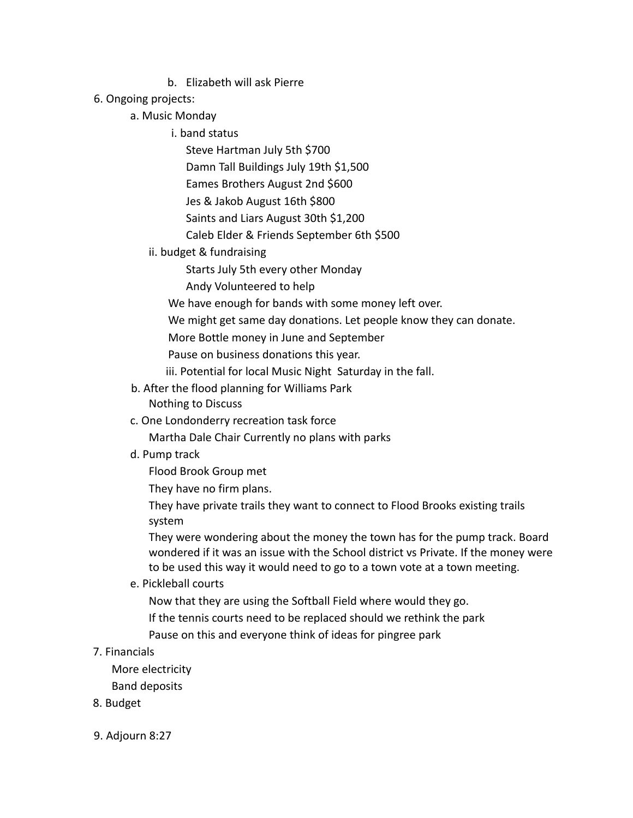b. Elizabeth will ask Pierre

## 6. Ongoing projects:

## a. Music Monday

- i. band status
	- Steve Hartman July 5th \$700 Damn Tall Buildings July 19th \$1,500 Eames Brothers August 2nd \$600 Jes & Jakob August 16th \$800 Saints and Liars August 30th \$1,200 Caleb Elder & Friends September 6th \$500
- ii. budget & fundraising
	- Starts July 5th every other Monday
	- Andy Volunteered to help
	- We have enough for bands with some money left over.
	- We might get same day donations. Let people know they can donate.
	- More Bottle money in June and September
	- Pause on business donations this year.
	- iii. Potential for local Music Night Saturday in the fall.
- b. After the flood planning for Williams Park Nothing to Discuss
- c. One Londonderry recreation task force
	- Martha Dale Chair Currently no plans with parks
- d. Pump track
	- Flood Brook Group met
	- They have no firm plans.
	- They have private trails they want to connect to Flood Brooks existing trails system

They were wondering about the money the town has for the pump track. Board wondered if it was an issue with the School district vs Private. If the money were to be used this way it would need to go to a town vote at a town meeting.

- e. Pickleball courts
	- Now that they are using the Softball Field where would they go.
	- If the tennis courts need to be replaced should we rethink the park
	- Pause on this and everyone think of ideas for pingree park

## 7. Financials

- More electricity
- Band deposits
- 8. Budget
- 9. Adjourn 8:27